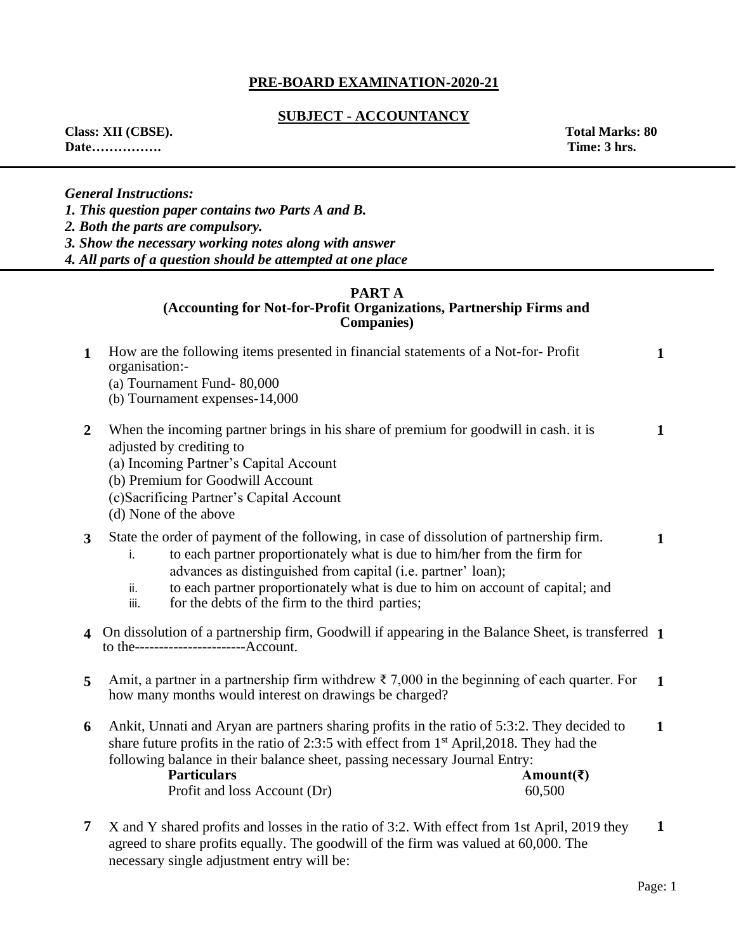# **PRE-BOARD EXAMINATION-2020-21**

### **SUBJECT - ACCOUNTANCY**

**Date……………. Time: 3 hrs.** 

**Class: XII (CBSE). Total Marks: 80** 

*General Instructions:* 

*1. This question paper contains two Parts A and B.* 

*2. Both the parts are compulsory.* 

*3. Show the necessary working notes along with answer*

*4. All parts of a question should be attempted at one place* 

# **PART A**

### **(Accounting for Not-for-Profit Organizations, Partnership Firms and Companies)**

| $\mathbf{1}$   | How are the following items presented in financial statements of a Not-for-Profit<br>organisation:-                                                                                                                                                                                                                                                                                           | $\mathbf{1}$ |
|----------------|-----------------------------------------------------------------------------------------------------------------------------------------------------------------------------------------------------------------------------------------------------------------------------------------------------------------------------------------------------------------------------------------------|--------------|
|                | (a) Tournament Fund-80,000<br>(b) Tournament expenses-14,000                                                                                                                                                                                                                                                                                                                                  |              |
| $\overline{2}$ | When the incoming partner brings in his share of premium for goodwill in cash, it is<br>adjusted by crediting to<br>(a) Incoming Partner's Capital Account<br>(b) Premium for Goodwill Account<br>(c) Sacrificing Partner's Capital Account<br>(d) None of the above                                                                                                                          | 1            |
| 3              | State the order of payment of the following, in case of dissolution of partnership firm.<br>to each partner proportionately what is due to him/her from the firm for<br>i.<br>advances as distinguished from capital (i.e. partner' loan);<br>to each partner proportionately what is due to him on account of capital; and<br>ii.<br>for the debts of the firm to the third parties;<br>iii. | 1            |
|                | 4 On dissolution of a partnership firm, Goodwill if appearing in the Balance Sheet, is transferred 1<br>to the------------------------Account.                                                                                                                                                                                                                                                |              |
| 5              | Amit, a partner in a partnership firm withdrew $\bar{\tau}$ 7,000 in the beginning of each quarter. For<br>how many months would interest on drawings be charged?                                                                                                                                                                                                                             | $\mathbf{1}$ |
| 6              | Ankit, Unnati and Aryan are partners sharing profits in the ratio of 5:3:2. They decided to<br>share future profits in the ratio of 2:3:5 with effect from 1 <sup>st</sup> April, 2018. They had the<br>following balance in their balance sheet, passing necessary Journal Entry:<br><b>Particulars</b><br>Amount(₹)<br>Profit and loss Account (Dr)<br>60,500                               | $\mathbf{1}$ |
| 7              | X and Y shared profits and losses in the ratio of 3:2. With effect from 1st April, 2019 they<br>$1.1$ $C_1$ $C_2$ $11.701$ $1.11$ $C_1$ $C_2$ $1.11$ $C_2$ $C_3$ $C_4$ $C_5$                                                                                                                                                                                                                  | 1            |

agreed to share profits equally. The goodwill of the firm was valued at 60,000. The necessary single adjustment entry will be: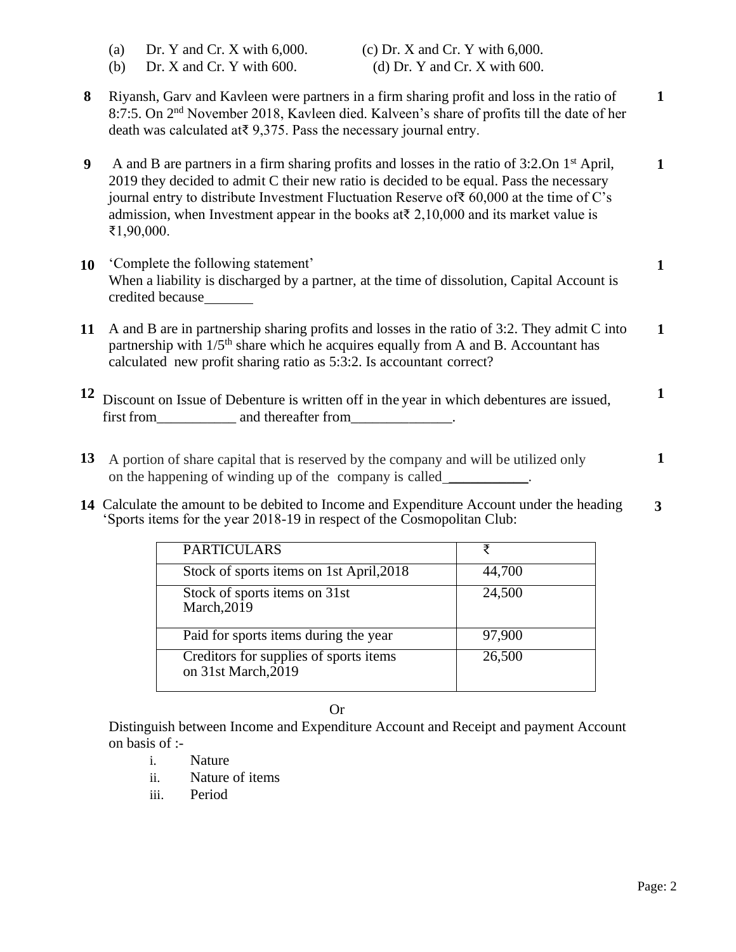|                  | Dr. Y and Cr. X with $6,000$ .<br>(c) Dr. X and Cr. Y with $6,000$ .<br>(a)<br>Dr. X and Cr. Y with 600.<br>(d) Dr. Y and Cr. X with $600$ .<br>(b)                                                                                                                                                                                                                                                                                 |              |
|------------------|-------------------------------------------------------------------------------------------------------------------------------------------------------------------------------------------------------------------------------------------------------------------------------------------------------------------------------------------------------------------------------------------------------------------------------------|--------------|
| 8                | Riyansh, Garv and Kavleen were partners in a firm sharing profit and loss in the ratio of<br>8:7:5. On 2 <sup>nd</sup> November 2018, Kavleen died. Kalveen's share of profits till the date of her<br>death was calculated at $9,375$ . Pass the necessary journal entry.                                                                                                                                                          | $\mathbf{1}$ |
| $\boldsymbol{9}$ | A and B are partners in a firm sharing profits and losses in the ratio of 3:2.0n 1 <sup>st</sup> April,<br>2019 they decided to admit C their new ratio is decided to be equal. Pass the necessary<br>journal entry to distribute Investment Fluctuation Reserve of $\overline{\epsilon}$ 60,000 at the time of C's<br>admission, when Investment appear in the books at $\bar{z}$ , 2,10,000 and its market value is<br>₹1,90,000. | 1            |
| 10               | 'Complete the following statement'<br>When a liability is discharged by a partner, at the time of dissolution, Capital Account is<br>credited because_______                                                                                                                                                                                                                                                                        | 1            |
| 11               | A and B are in partnership sharing profits and losses in the ratio of 3:2. They admit C into<br>partnership with 1/5 <sup>th</sup> share which he acquires equally from A and B. Accountant has<br>calculated new profit sharing ratio as 5:3:2. Is accountant correct?                                                                                                                                                             | $\mathbf{1}$ |
|                  | Discount on Issue of Debenture is written off in the year in which debentures are issued,                                                                                                                                                                                                                                                                                                                                           | $\mathbf{1}$ |
|                  | 13 A portion of share capital that is reserved by the company and will be utilized only                                                                                                                                                                                                                                                                                                                                             | 1            |

**14** Calculate the amount to be debited to Income and Expenditure Account under the heading 'Sports items for the year 2018-19 in respect of the Cosmopolitan Club: **3**

on the happening of winding up of the company is called

| <b>PARTICULARS</b>                                            | ₹      |
|---------------------------------------------------------------|--------|
| Stock of sports items on 1st April, 2018                      | 44,700 |
| Stock of sports items on 31st<br>March, $20\overline{1}9$     | 24,500 |
| Paid for sports items during the year                         | 97,900 |
| Creditors for supplies of sports items<br>on 31st March, 2019 | 26,500 |

Or

Distinguish between Income and Expenditure Account and Receipt and payment Account on basis of :-

- i. Nature
- ii. Nature of items
- iii. Period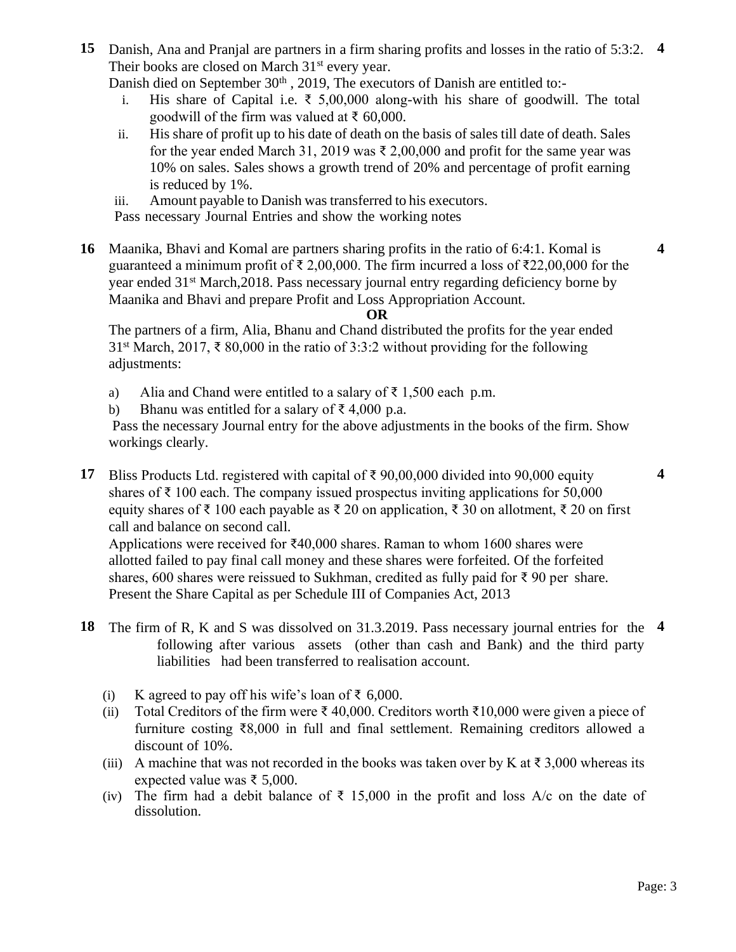**15** Danish, Ana and Pranjal are partners in a firm sharing profits and losses in the ratio of 5:3:2. **4** Their books are closed on March  $31<sup>st</sup>$  every year.

Danish died on September 30<sup>th</sup>, 2019, The executors of Danish are entitled to:-

- i. His share of Capital i.e.  $\bar{\tau}$  5,00,000 along-with his share of goodwill. The total goodwill of the firm was valued at ₹ 60,000.
- ii. His share of profit up to his date of death on the basis of sales till date of death. Sales for the year ended March 31, 2019 was  $\bar{\tau}$  2,00,000 and profit for the same year was 10% on sales. Sales shows a growth trend of 20% and percentage of profit earning is reduced by 1%.
- iii. Amount payable to Danish was transferred to his executors.

Pass necessary Journal Entries and show the working notes

**16** Maanika, Bhavi and Komal are partners sharing profits in the ratio of 6:4:1. Komal is guaranteed a minimum profit of  $\bar{\tau}$  2,00,000. The firm incurred a loss of  $\bar{\tau}$ 22,00,000 for the year ended 31st March,2018. Pass necessary journal entry regarding deficiency borne by Maanika and Bhavi and prepare Profit and Loss Appropriation Account.

### **OR**

The partners of a firm, Alia, Bhanu and Chand distributed the profits for the year ended 31<sup>st</sup> March, 2017, ₹ 80,000 in the ratio of 3:3:2 without providing for the following adjustments:

- a) Alia and Chand were entitled to a salary of  $\bar{\tau}$  1,500 each p.m.
- b) Bhanu was entitled for a salary of  $\bar{\tau}$  4,000 p.a.

Pass the necessary Journal entry for the above adjustments in the books of the firm. Show workings clearly.

**17** Bliss Products Ltd. registered with capital of ₹ 90,00,000 divided into 90,000 equity shares of  $\bar{\tau}$  100 each. The company issued prospectus inviting applications for 50,000 equity shares of ₹ 100 each payable as ₹ 20 on application, ₹ 30 on allotment, ₹ 20 on first call and balance on second call.

Applications were received for ₹40,000 shares. Raman to whom 1600 shares were allotted failed to pay final call money and these shares were forfeited. Of the forfeited shares, 600 shares were reissued to Sukhman, credited as fully paid for  $\bar{\tau}$  90 per share. Present the Share Capital as per Schedule III of Companies Act, 2013

- **18** The firm of R, K and S was dissolved on 31.3.2019. Pass necessary journal entries for the **4**following after various assets (other than cash and Bank) and the third party liabilities had been transferred to realisation account.
	- (i) K agreed to pay off his wife's loan of  $\bar{\epsilon}$  6,000.
	- (ii) Total Creditors of the firm were  $\bar{\xi}$  40,000. Creditors worth  $\bar{\xi}$ 10,000 were given a piece of furniture costing ₹8,000 in full and final settlement. Remaining creditors allowed a discount of 10%.
	- (iii) A machine that was not recorded in the books was taken over by K at  $\bar{\tau}$  3,000 whereas its expected value was ₹ 5,000.
	- (iv) The firm had a debit balance of  $\bar{\tau}$  15,000 in the profit and loss A/c on the date of dissolution.

**4**

**4**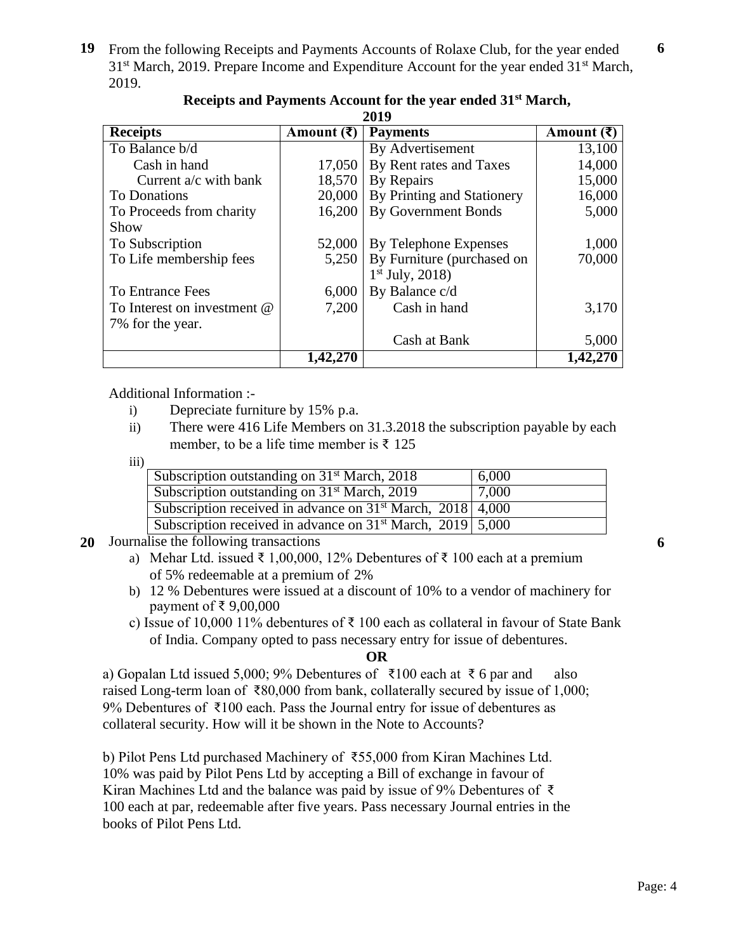**19** From the following Receipts and Payments Accounts of Rolaxe Club, for the year ended 31<sup>st</sup> March, 2019. Prepare Income and Expenditure Account for the year ended 31<sup>st</sup> March, 2019.

| 201 Z                       |                             |                            |                             |  |
|-----------------------------|-----------------------------|----------------------------|-----------------------------|--|
| <b>Receipts</b>             | Amount $(\bar{\mathbf{z}})$ | <b>Payments</b>            | Amount $(\bar{\mathbf{z}})$ |  |
| To Balance b/d              |                             | By Advertisement           | 13,100                      |  |
| Cash in hand                | 17,050                      | By Rent rates and Taxes    | 14,000                      |  |
| Current $a/c$ with bank     | 18,570                      | By Repairs                 | 15,000                      |  |
| To Donations                | 20,000                      | By Printing and Stationery | 16,000                      |  |
| To Proceeds from charity    | 16,200                      | <b>By Government Bonds</b> | 5,000                       |  |
| Show                        |                             |                            |                             |  |
| To Subscription             | 52,000                      | By Telephone Expenses      | 1,000                       |  |
| To Life membership fees     | 5,250                       | By Furniture (purchased on | 70,000                      |  |
|                             |                             | $1st$ July, 2018)          |                             |  |
| To Entrance Fees            | 6,000                       | By Balance c/d             |                             |  |
| To Interest on investment @ | 7,200                       | Cash in hand               | 3,170                       |  |
| 7% for the year.            |                             |                            |                             |  |
|                             |                             | Cash at Bank               | 5,000                       |  |
|                             |                             |                            |                             |  |

#### **Receipts and Payments Account for the year ended 31st March, 2019**

Additional Information :-

- i) Depreciate furniture by 15% p.a.
- ii) There were 416 Life Members on 31.3.2018 the subscription payable by each member, to be a life time member is  $\bar{\tau}$  125

iii)

| Subscription outstanding on 31 <sup>st</sup> March, 2018       | 6,000 |
|----------------------------------------------------------------|-------|
| Subscription outstanding on $31st$ March, 2019                 | 7,000 |
| Subscription received in advance on $31st$ March, 2018 4,000   |       |
| Subscription received in advance on $31st$ March, 2019 $5,000$ |       |

- **20** Journalise the following transactions
	- a) Mehar Ltd. issued ₹ 1,00,000, 12% Debentures of ₹ 100 each at a premium of 5% redeemable at a premium of 2%
	- b) 12 % Debentures were issued at a discount of 10% to a vendor of machinery for payment of ₹ 9,00,000
	- c) Issue of 10,000 11% debentures of  $\bar{\tau}$  100 each as collateral in favour of State Bank of India. Company opted to pass necessary entry for issue of debentures.

### **OR**

a) Gopalan Ltd issued 5,000; 9% Debentures of ₹100 each at ₹6 par and also raised Long-term loan of ₹80,000 from bank, collaterally secured by issue of 1,000; 9% Debentures of ₹100 each. Pass the Journal entry for issue of debentures as collateral security. How will it be shown in the Note to Accounts?

b) Pilot Pens Ltd purchased Machinery of ₹55,000 from Kiran Machines Ltd. 10% was paid by Pilot Pens Ltd by accepting a Bill of exchange in favour of Kiran Machines Ltd and the balance was paid by issue of 9% Debentures of  $\bar{\tau}$ 100 each at par, redeemable after five years. Pass necessary Journal entries in the books of Pilot Pens Ltd.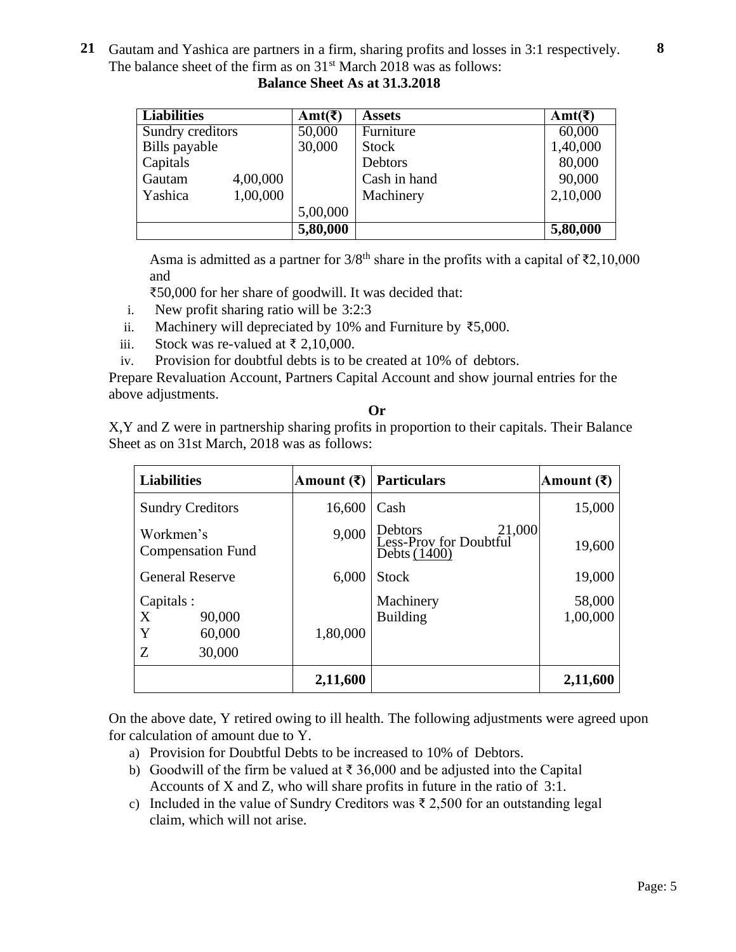**21** Gautam and Yashica are partners in a firm, sharing profits and losses in 3:1 respectively. The balance sheet of the firm as on  $31<sup>st</sup>$  March 2018 was as follows: **8**

| <b>Liabilities</b>  | Amt(₹)   | <b>Assets</b> | Amt(₹)   |
|---------------------|----------|---------------|----------|
| Sundry creditors    | 50,000   | Furniture     | 60,000   |
| Bills payable       | 30,000   | <b>Stock</b>  | 1,40,000 |
| Capitals            |          | Debtors       | 80,000   |
| 4,00,000<br>Gautam  |          | Cash in hand  | 90,000   |
| 1,00,000<br>Yashica |          | Machinery     | 2,10,000 |
|                     | 5,00,000 |               |          |
|                     | 5,80,000 |               | 5,80,000 |

 **Balance Sheet As at 31.3.2018**

Asma is admitted as a partner for  $3/8<sup>th</sup>$  share in the profits with a capital of  $\overline{22,10,000}$ and

₹50,000 for her share of goodwill. It was decided that:

- i. New profit sharing ratio will be 3:2:3
- ii. Machinery will depreciated by 10% and Furniture by ₹5,000.
- iii. Stock was re-valued at ₹ 2,10,000.
- iv. Provision for doubtful debts is to be created at 10% of debtors.

Prepare Revaluation Account, Partners Capital Account and show journal entries for the above adjustments.

**Or**

X,Y and Z were in partnership sharing profits in proportion to their capitals. Their Balance Sheet as on 31st March, 2018 was as follows:

| <b>Liabilities</b>                                      | Amount (₹) | <b>Particulars</b>                                            | Amount $(\bar{\mathbf{z}})$ |
|---------------------------------------------------------|------------|---------------------------------------------------------------|-----------------------------|
| <b>Sundry Creditors</b>                                 | 16,600     | Cash                                                          | 15,000                      |
| Workmen's<br><b>Compensation Fund</b>                   | 9,000      | 21,000<br>Debtors<br>Less-Prov for Doubtful<br>Debts $(1400)$ | 19,600                      |
| <b>General Reserve</b>                                  | 6,000      | <b>Stock</b>                                                  | 19,000                      |
| Capitals :<br>90,000<br>X<br>Y<br>60,000<br>30,000<br>Z | 1,80,000   | Machinery<br><b>Building</b>                                  | 58,000<br>1,00,000          |
|                                                         | 2,11,600   |                                                               | 2,11,600                    |

On the above date, Y retired owing to ill health. The following adjustments were agreed upon for calculation of amount due to Y.

- a) Provision for Doubtful Debts to be increased to 10% of Debtors.
- b) Goodwill of the firm be valued at  $\bar{\tau}$  36,000 and be adjusted into the Capital Accounts of X and Z, who will share profits in future in the ratio of 3:1.
- c) Included in the value of Sundry Creditors was  $\bar{\tau}$  2,500 for an outstanding legal claim, which will not arise.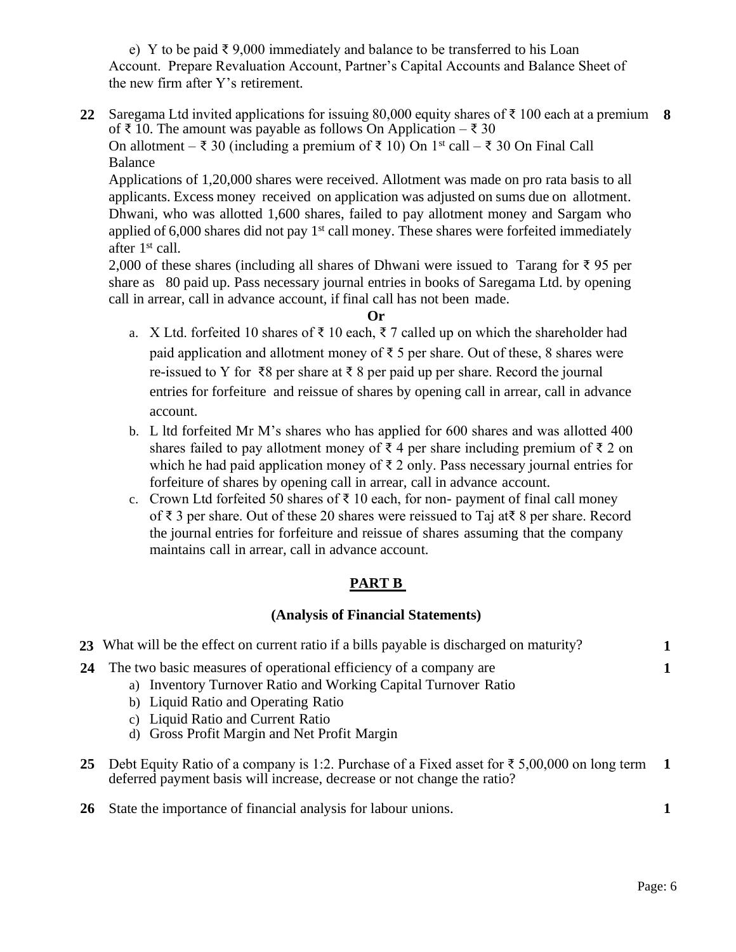e) Y to be paid  $\bar{\xi}$  9,000 immediately and balance to be transferred to his Loan Account. Prepare Revaluation Account, Partner's Capital Accounts and Balance Sheet of the new firm after Y's retirement.

**22** Saregama Ltd invited applications for issuing 80,000 equity shares of ₹ 100 each at a premium **8** of ₹ 10. The amount was payable as follows On Application – ₹ 30 On allotment – ₹ 30 (including a premium of ₹ 10) On 1<sup>st</sup> call – ₹ 30 On Final Call Balance

Applications of 1,20,000 shares were received. Allotment was made on pro rata basis to all applicants. Excess money received on application was adjusted on sums due on allotment. Dhwani, who was allotted 1,600 shares, failed to pay allotment money and Sargam who applied of 6,000 shares did not pay 1<sup>st</sup> call money. These shares were forfeited immediately after 1<sup>st</sup> call.

2,000 of these shares (including all shares of Dhwani were issued to Tarang for  $\bar{\xi}$  95 per share as 80 paid up. Pass necessary journal entries in books of Saregama Ltd. by opening call in arrear, call in advance account, if final call has not been made.

### **Or**

- a. X Ltd. forfeited 10 shares of ₹ 10 each, ₹ 7 called up on which the shareholder had paid application and allotment money of ₹ 5 per share. Out of these, 8 shares were re-issued to Y for ₹8 per share at ₹ 8 per paid up per share. Record the journal entries for forfeiture and reissue of shares by opening call in arrear, call in advance account.
- b. L ltd forfeited Mr M's shares who has applied for 600 shares and was allotted 400 shares failed to pay allotment money of ₹ 4 per share including premium of ₹ 2 on which he had paid application money of  $\bar{\tau}$  2 only. Pass necessary journal entries for forfeiture of shares by opening call in arrear, call in advance account.
- c. Crown Ltd forfeited 50 shares of  $\bar{\tau}$  10 each, for non- payment of final call money of ₹ 3 per share. Out of these 20 shares were reissued to Taj at₹ 8 per share. Record the journal entries for forfeiture and reissue of shares assuming that the company maintains call in arrear, call in advance account.

# **PART B**

# **(Analysis of Financial Statements)**

|    | 23 What will be the effect on current ratio if a bills payable is discharged on maturity?                                                                                                                                                                       |     |
|----|-----------------------------------------------------------------------------------------------------------------------------------------------------------------------------------------------------------------------------------------------------------------|-----|
| 24 | The two basic measures of operational efficiency of a company are<br>a) Inventory Turnover Ratio and Working Capital Turnover Ratio<br>b) Liquid Ratio and Operating Ratio<br>c) Liquid Ratio and Current Ratio<br>d) Gross Profit Margin and Net Profit Margin |     |
| 25 | Debt Equity Ratio of a company is 1:2. Purchase of a Fixed asset for ₹ 5,00,000 on long term<br>deferred payment basis will increase, decrease or not change the ratio?                                                                                         | - 1 |
| 26 | State the importance of financial analysis for labour unions.                                                                                                                                                                                                   |     |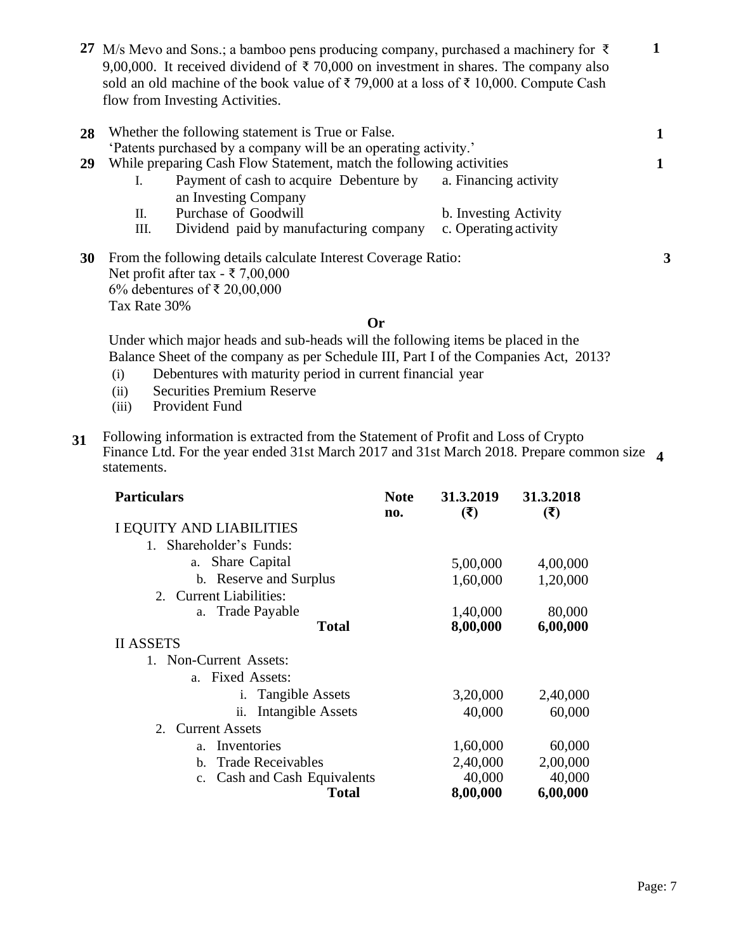**27** M/s Mevo and Sons.; a bamboo pens producing company, purchased a machinery for ₹ 9,00,000. It received dividend of  $\bar{\tau}$  70,000 on investment in shares. The company also sold an old machine of the book value of ₹ 79,000 at a loss of ₹ 10,000. Compute Cash flow from Investing Activities.

| 28        |    | Whether the following statement is True or False.<br>'Patents purchased by a company will be an operating activity.' |                       |   |
|-----------|----|----------------------------------------------------------------------------------------------------------------------|-----------------------|---|
| 29        |    | While preparing Cash Flow Statement, match the following activities                                                  |                       |   |
|           |    | Payment of cash to acquire Debenture by                                                                              | a. Financing activity |   |
|           |    | an Investing Company                                                                                                 |                       |   |
|           | П. | Purchase of Goodwill                                                                                                 | b. Investing Activity |   |
|           | Ш. | Dividend paid by manufacturing company                                                                               | c. Operating activity |   |
| <b>30</b> |    | From the following details calculate Interest Coverage Ratio:<br>$N_{\rm tot} = 0.64 + 0.44$                         |                       | 3 |

Net profit after tax - ₹ 7,00,000 6% debentures of ₹ 20,00,000 Tax Rate 30%

#### **Or**

Under which major heads and sub-heads will the following items be placed in the Balance Sheet of the company as per Schedule III, Part I of the Companies Act, 2013?

- (i) Debentures with maturity period in current financial year
- (ii) Securities Premium Reserve
- (iii) Provident Fund
- **31** Following information is extracted from the Statement of Profit and Loss of Crypto Finance Ltd. For the year ended 31st March 2017 and 31st March 2018. Prepare common size  **4** statements.

| <b>Particulars</b>                  | <b>Note</b><br>no. | 31.3.2019<br>(3) | 31.3.2018<br>(3) |
|-------------------------------------|--------------------|------------------|------------------|
| I EQUITY AND LIABILITIES            |                    |                  |                  |
| 1. Shareholder's Funds:             |                    |                  |                  |
| Share Capital<br>a.                 |                    | 5,00,000         | 4,00,000         |
| b. Reserve and Surplus              |                    | 1,60,000         | 1,20,000         |
| 2. Current Liabilities:             |                    |                  |                  |
| a. Trade Payable                    |                    | 1,40,000         | 80,000           |
| <b>Total</b>                        |                    | 8,00,000         | 6,00,000         |
| <b>II ASSETS</b>                    |                    |                  |                  |
| 1. Non-Current Assets:              |                    |                  |                  |
| a. Fixed Assets:                    |                    |                  |                  |
| <i>i.</i> Tangible Assets           |                    | 3,20,000         | 2,40,000         |
| <b>Intangible Assets</b><br>ii.     |                    | 40,000           | 60,000           |
| <b>Current Assets</b><br>2.         |                    |                  |                  |
| Inventories<br>a <sub>z</sub>       |                    | 1,60,000         | 60,000           |
| <b>Trade Receivables</b><br>$h_{-}$ |                    | 2,40,000         | 2,00,000         |
| Cash and Cash Equivalents<br>c.     |                    | 40,000           | 40,000           |
| <b>Total</b>                        |                    | 8,00,000         | 6,00,000         |

**1**